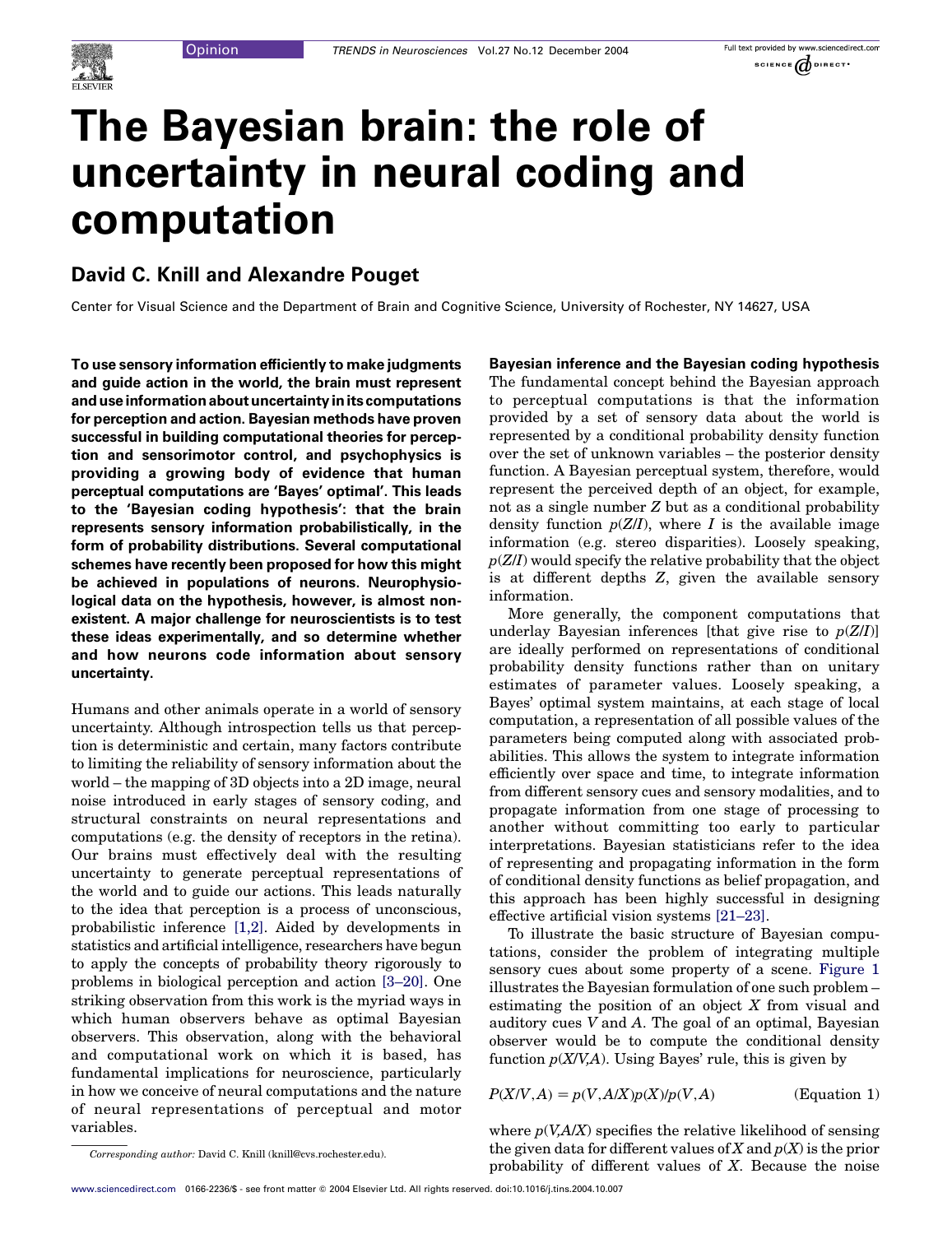

# The Bayesian brain: the role of uncertainty in neural coding and computation

# David C. Knill and Alexandre Pouget

Center for Visual Science and the Department of Brain and Cognitive Science, University of Rochester, NY 14627, USA

To use sensory information efficiently to make judgments and guide action in the world, the brain must represent and use information about uncertainty in its computations for perception and action. Bayesian methods have proven successful in building computational theories for perception and sensorimotor control, and psychophysics is providing a growing body of evidence that human perceptual computations are 'Bayes' optimal'. This leads to the 'Bayesian coding hypothesis': that the brain represents sensory information probabilistically, in the form of probability distributions. Several computational schemes have recently been proposed for how this might be achieved in populations of neurons. Neurophysiological data on the hypothesis, however, is almost nonexistent. A major challenge for neuroscientists is to test these ideas experimentally, and so determine whether and how neurons code information about sensory uncertainty.

Humans and other animals operate in a world of sensory uncertainty. Although introspection tells us that perception is deterministic and certain, many factors contribute to limiting the reliability of sensory information about the world – the mapping of 3D objects into a 2D image, neural noise introduced in early stages of sensory coding, and structural constraints on neural representations and computations (e.g. the density of receptors in the retina). Our brains must effectively deal with the resulting uncertainty to generate perceptual representations of the world and to guide our actions. This leads naturally to the idea that perception is a process of unconscious, probabilistic inference [\[1,2\].](#page-7-0) Aided by developments in statistics and artificial intelligence, researchers have begun to apply the concepts of probability theory rigorously to problems in biological perception and action [\[3–20\].](#page-7-0) One striking observation from this work is the myriad ways in which human observers behave as optimal Bayesian observers. This observation, along with the behavioral and computational work on which it is based, has fundamental implications for neuroscience, particularly in how we conceive of neural computations and the nature of neural representations of perceptual and motor variables.

Bayesian inference and the Bayesian coding hypothesis The fundamental concept behind the Bayesian approach to perceptual computations is that the information provided by a set of sensory data about the world is represented by a conditional probability density function over the set of unknown variables – the posterior density function. A Bayesian perceptual system, therefore, would represent the perceived depth of an object, for example, not as a single number Z but as a conditional probability density function  $p(Z/I)$ , where I is the available image information (e.g. stereo disparities). Loosely speaking,  $p(Z/I)$  would specify the relative probability that the object is at different depths Z, given the available sensory information.

More generally, the component computations that underlay Bayesian inferences [that give rise to  $p(Z/I)$ ] are ideally performed on representations of conditional probability density functions rather than on unitary estimates of parameter values. Loosely speaking, a Bayes' optimal system maintains, at each stage of local computation, a representation of all possible values of the parameters being computed along with associated probabilities. This allows the system to integrate information efficiently over space and time, to integrate information from different sensory cues and sensory modalities, and to propagate information from one stage of processing to another without committing too early to particular interpretations. Bayesian statisticians refer to the idea of representing and propagating information in the form of conditional density functions as belief propagation, and this approach has been highly successful in designing effective artificial vision systems [\[21–23\].](#page-7-0)

To illustrate the basic structure of Bayesian computations, consider the problem of integrating multiple sensory cues about some property of a scene. [Figure 1](#page-1-0) illustrates the Bayesian formulation of one such problem – estimating the position of an object X from visual and auditory cues V and A. The goal of an optimal, Bayesian observer would be to compute the conditional density function  $p(X/V,A)$ . Using Bayes' rule, this is given by

 $P(X/V, A) = p(V, A/X)p(X)/p(V, A)$  (Equation 1)

where  $p(V, A/X)$  specifies the relative likelihood of sensing the given data for different values of X and  $p(X)$  is the prior probability of different values of X. Because the noise

Corresponding author: David C. Knill (knill@cvs.rochester.edu).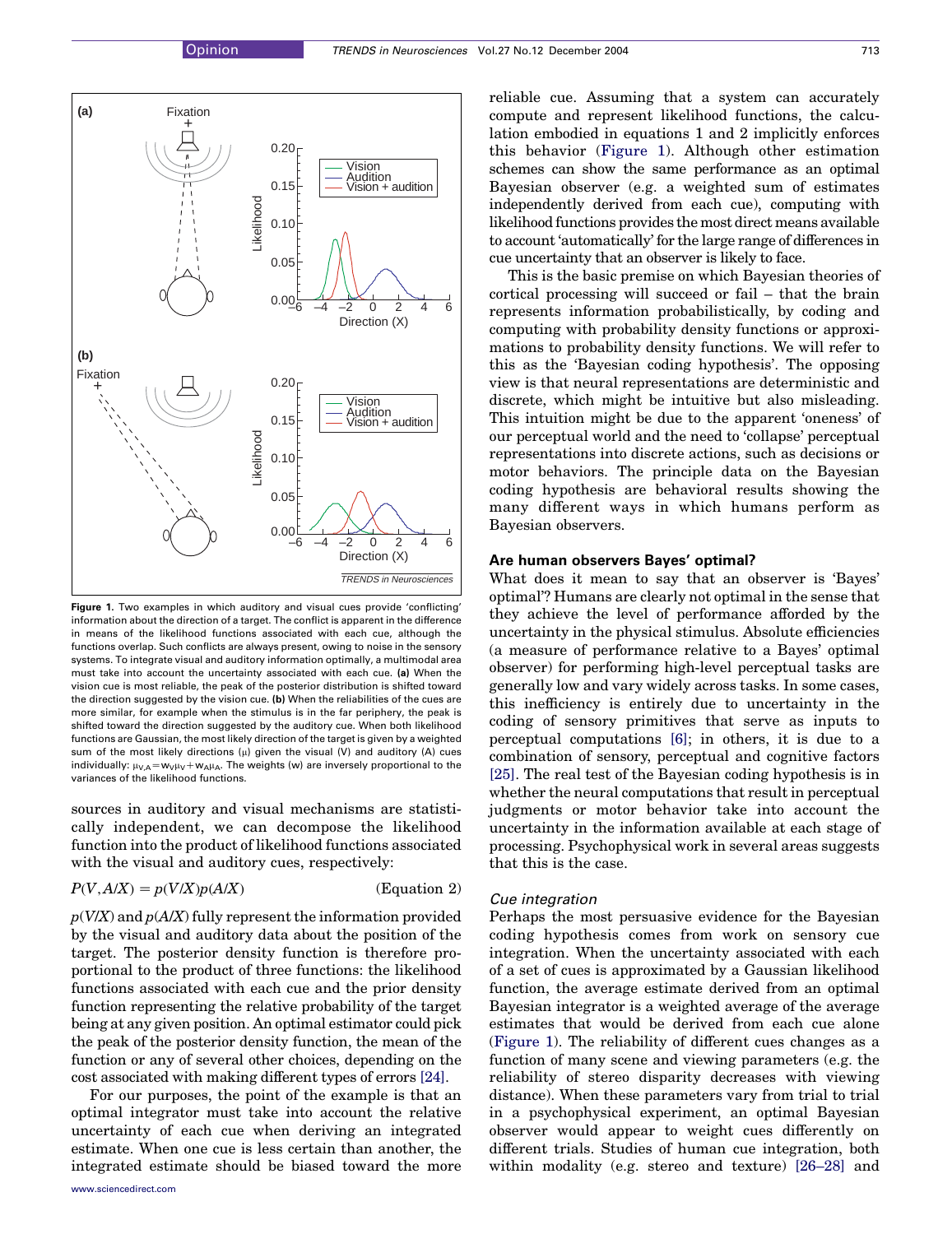<span id="page-1-0"></span>

Figure 1. Two examples in which auditory and visual cues provide 'conflicting' information about the direction of a target. The conflict is apparent in the difference in means of the likelihood functions associated with each cue, although the functions overlap. Such conflicts are always present, owing to noise in the sensory systems. To integrate visual and auditory information optimally, a multimodal area must take into account the uncertainty associated with each cue. (a) When the vision cue is most reliable, the peak of the posterior distribution is shifted toward the direction suggested by the vision cue. (b) When the reliabilities of the cues are more similar, for example when the stimulus is in the far periphery, the peak is shifted toward the direction suggested by the auditory cue. When both likelihood functions are Gaussian, the most likely direction of the target is given by a weighted sum of the most likely directions  $(\mu)$  given the visual (V) and auditory (A) cues individually:  $\mu_{V,A} = w_{V}\mu_{V} + w_{A}\mu_{A}$ . The weights (w) are inversely proportional to the variances of the likelihood functions.

sources in auditory and visual mechanisms are statistically independent, we can decompose the likelihood function into the product of likelihood functions associated with the visual and auditory cues, respectively:

#### $P(V, A/X) = p(V/X)p(A/X)$  (Eq.

$$
\qquad \qquad \text{Equation 2)}
$$

 $p(V/X)$  and  $p(A/X)$  fully represent the information provided by the visual and auditory data about the position of the target. The posterior density function is therefore proportional to the product of three functions: the likelihood functions associated with each cue and the prior density function representing the relative probability of the target being at any given position. An optimal estimator could pick the peak of the posterior density function, the mean of the function or any of several other choices, depending on the cost associated with making different types of errors [\[24\]](#page-7-0).

For our purposes, the point of the example is that an optimal integrator must take into account the relative uncertainty of each cue when deriving an integrated estimate. When one cue is less certain than another, the integrated estimate should be biased toward the more reliable cue. Assuming that a system can accurately compute and represent likelihood functions, the calculation embodied in equations 1 and 2 implicitly enforces this behavior (Figure 1). Although other estimation schemes can show the same performance as an optimal Bayesian observer (e.g. a weighted sum of estimates independently derived from each cue), computing with likelihood functions provides the most direct means available to account 'automatically' for the large range of differences in cue uncertainty that an observer is likely to face.

This is the basic premise on which Bayesian theories of cortical processing will succeed or fail – that the brain represents information probabilistically, by coding and computing with probability density functions or approximations to probability density functions. We will refer to this as the 'Bayesian coding hypothesis'. The opposing view is that neural representations are deterministic and discrete, which might be intuitive but also misleading. This intuition might be due to the apparent 'oneness' of our perceptual world and the need to 'collapse' perceptual representations into discrete actions, such as decisions or motor behaviors. The principle data on the Bayesian coding hypothesis are behavioral results showing the many different ways in which humans perform as Bayesian observers.

# Are human observers Bayes' optimal?

What does it mean to say that an observer is 'Bayes' optimal'? Humans are clearly not optimal in the sense that they achieve the level of performance afforded by the uncertainty in the physical stimulus. Absolute efficiencies (a measure of performance relative to a Bayes' optimal observer) for performing high-level perceptual tasks are generally low and vary widely across tasks. In some cases, this inefficiency is entirely due to uncertainty in the coding of sensory primitives that serve as inputs to perceptual computations [\[6\];](#page-7-0) in others, it is due to a combination of sensory, perceptual and cognitive factors [\[25\].](#page-7-0) The real test of the Bayesian coding hypothesis is in whether the neural computations that result in perceptual judgments or motor behavior take into account the uncertainty in the information available at each stage of processing. Psychophysical work in several areas suggests that this is the case.

# Cue integration

Perhaps the most persuasive evidence for the Bayesian coding hypothesis comes from work on sensory cue integration. When the uncertainty associated with each of a set of cues is approximated by a Gaussian likelihood function, the average estimate derived from an optimal Bayesian integrator is a weighted average of the average estimates that would be derived from each cue alone (Figure 1). The reliability of different cues changes as a function of many scene and viewing parameters (e.g. the reliability of stereo disparity decreases with viewing distance). When these parameters vary from trial to trial in a psychophysical experiment, an optimal Bayesian observer would appear to weight cues differently on different trials. Studies of human cue integration, both within modality (e.g. stereo and texture) [\[26–28\]](#page-7-0) and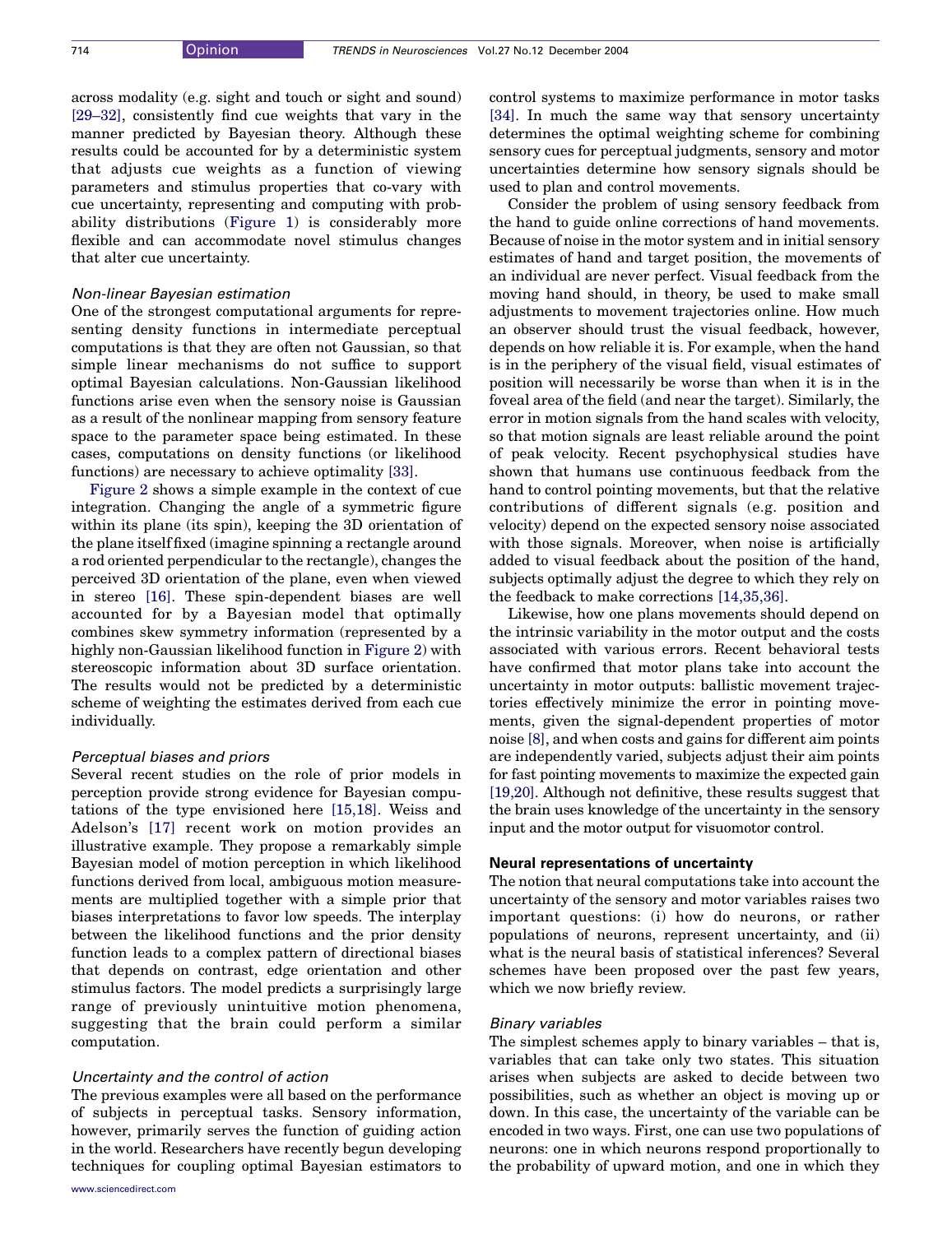across modality (e.g. sight and touch or sight and sound) [\[29–32\]](#page-7-0), consistently find cue weights that vary in the manner predicted by Bayesian theory. Although these results could be accounted for by a deterministic system that adjusts cue weights as a function of viewing parameters and stimulus properties that co-vary with cue uncertainty, representing and computing with probability distributions ([Figure 1](#page-1-0)) is considerably more flexible and can accommodate novel stimulus changes that alter cue uncertainty.

#### Non-linear Bayesian estimation

One of the strongest computational arguments for representing density functions in intermediate perceptual computations is that they are often not Gaussian, so that simple linear mechanisms do not suffice to support optimal Bayesian calculations. Non-Gaussian likelihood functions arise even when the sensory noise is Gaussian as a result of the nonlinear mapping from sensory feature space to the parameter space being estimated. In these cases, computations on density functions (or likelihood functions) are necessary to achieve optimality [\[33\]](#page-7-0).

[Figure 2](#page-3-0) shows a simple example in the context of cue integration. Changing the angle of a symmetric figure within its plane (its spin), keeping the 3D orientation of the plane itself fixed (imagine spinning a rectangle around a rod oriented perpendicular to the rectangle), changes the perceived 3D orientation of the plane, even when viewed in stereo [\[16\]](#page-7-0). These spin-dependent biases are well accounted for by a Bayesian model that optimally combines skew symmetry information (represented by a highly non-Gaussian likelihood function in [Figure 2](#page-3-0)) with stereoscopic information about 3D surface orientation. The results would not be predicted by a deterministic scheme of weighting the estimates derived from each cue individually.

# Perceptual biases and priors

Several recent studies on the role of prior models in perception provide strong evidence for Bayesian computations of the type envisioned here [\[15,18\].](#page-7-0) Weiss and Adelson's [\[17\]](#page-7-0) recent work on motion provides an illustrative example. They propose a remarkably simple Bayesian model of motion perception in which likelihood functions derived from local, ambiguous motion measurements are multiplied together with a simple prior that biases interpretations to favor low speeds. The interplay between the likelihood functions and the prior density function leads to a complex pattern of directional biases that depends on contrast, edge orientation and other stimulus factors. The model predicts a surprisingly large range of previously unintuitive motion phenomena, suggesting that the brain could perform a similar computation.

# Uncertainty and the control of action

The previous examples were all based on the performance of subjects in perceptual tasks. Sensory information, however, primarily serves the function of guiding action in the world. Researchers have recently begun developing techniques for coupling optimal Bayesian estimators to control systems to maximize performance in motor tasks [\[34\].](#page-7-0) In much the same way that sensory uncertainty determines the optimal weighting scheme for combining sensory cues for perceptual judgments, sensory and motor uncertainties determine how sensory signals should be used to plan and control movements.

Consider the problem of using sensory feedback from the hand to guide online corrections of hand movements. Because of noise in the motor system and in initial sensory estimates of hand and target position, the movements of an individual are never perfect. Visual feedback from the moving hand should, in theory, be used to make small adjustments to movement trajectories online. How much an observer should trust the visual feedback, however, depends on how reliable it is. For example, when the hand is in the periphery of the visual field, visual estimates of position will necessarily be worse than when it is in the foveal area of the field (and near the target). Similarly, the error in motion signals from the hand scales with velocity, so that motion signals are least reliable around the point of peak velocity. Recent psychophysical studies have shown that humans use continuous feedback from the hand to control pointing movements, but that the relative contributions of different signals (e.g. position and velocity) depend on the expected sensory noise associated with those signals. Moreover, when noise is artificially added to visual feedback about the position of the hand, subjects optimally adjust the degree to which they rely on the feedback to make corrections [\[14,35,36\].](#page-7-0)

Likewise, how one plans movements should depend on the intrinsic variability in the motor output and the costs associated with various errors. Recent behavioral tests have confirmed that motor plans take into account the uncertainty in motor outputs: ballistic movement trajectories effectively minimize the error in pointing movements, given the signal-dependent properties of motor noise [\[8\],](#page-7-0) and when costs and gains for different aim points are independently varied, subjects adjust their aim points for fast pointing movements to maximize the expected gain [\[19,20\]](#page-7-0). Although not definitive, these results suggest that the brain uses knowledge of the uncertainty in the sensory input and the motor output for visuomotor control.

#### Neural representations of uncertainty

The notion that neural computations take into account the uncertainty of the sensory and motor variables raises two important questions: (i) how do neurons, or rather populations of neurons, represent uncertainty, and (ii) what is the neural basis of statistical inferences? Several schemes have been proposed over the past few years, which we now briefly review.

#### Binary variables

The simplest schemes apply to binary variables – that is, variables that can take only two states. This situation arises when subjects are asked to decide between two possibilities, such as whether an object is moving up or down. In this case, the uncertainty of the variable can be encoded in two ways. First, one can use two populations of neurons: one in which neurons respond proportionally to the probability of upward motion, and one in which they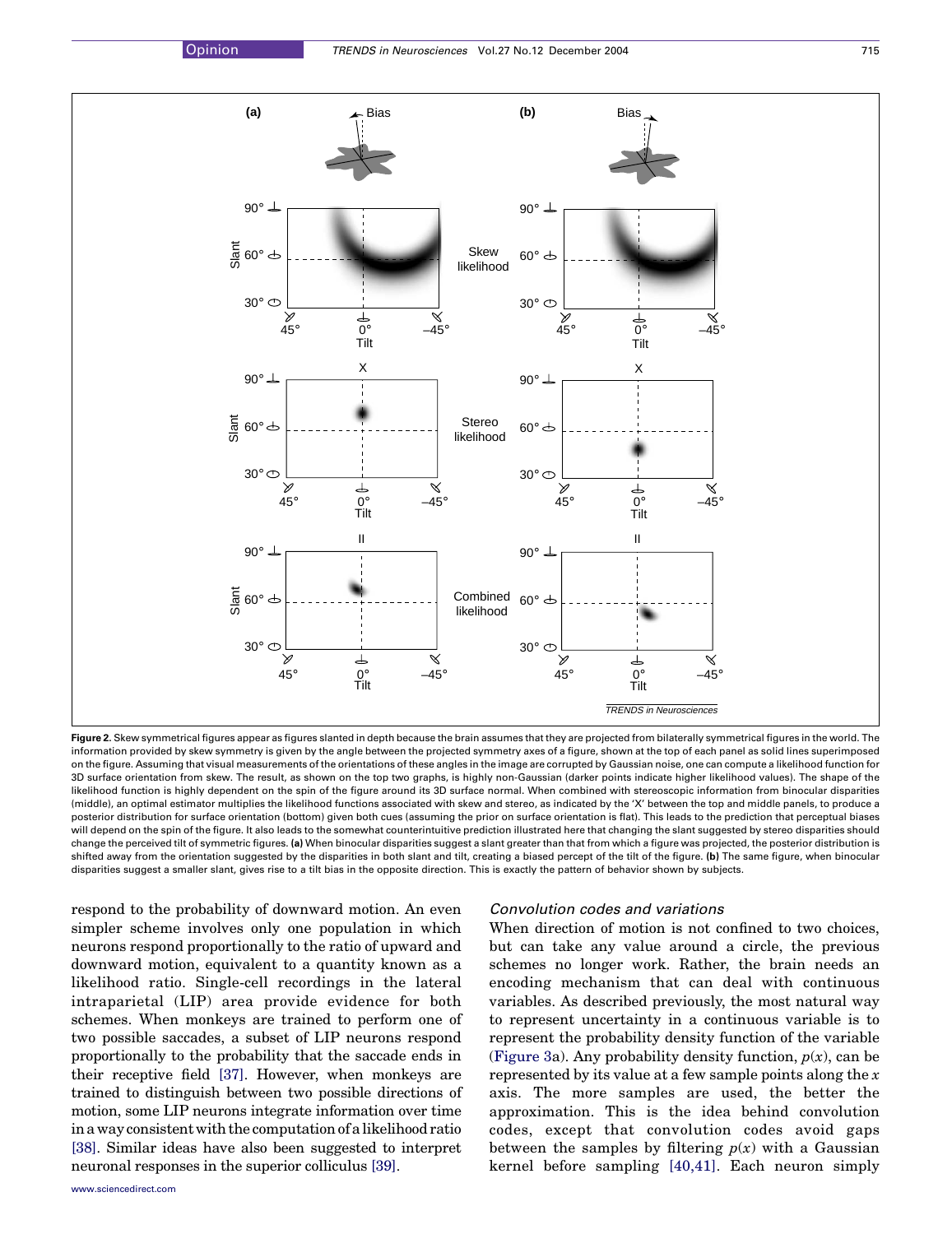<span id="page-3-0"></span>

Figure 2. Skew symmetrical figures appear as figures slanted in depth because the brain assumes that they are projected from bilaterally symmetrical figures in the world. The information provided by skew symmetry is given by the angle between the projected symmetry axes of a figure, shown at the top of each panel as solid lines superimposed on the figure. Assuming that visual measurements of the orientations of these angles in the image are corrupted by Gaussian noise, one can compute a likelihood function for 3D surface orientation from skew. The result, as shown on the top two graphs, is highly non-Gaussian (darker points indicate higher likelihood values). The shape of the likelihood function is highly dependent on the spin of the figure around its 3D surface normal. When combined with stereoscopic information from binocular disparities (middle), an optimal estimator multiplies the likelihood functions associated with skew and stereo, as indicated by the 'X' between the top and middle panels, to produce a posterior distribution for surface orientation (bottom) given both cues (assuming the prior on surface orientation is flat). This leads to the prediction that perceptual biases will depend on the spin of the figure. It also leads to the somewhat counterintuitive prediction illustrated here that changing the slant suggested by stereo disparities should change the perceived tilt of symmetric figures. (a) When binocular disparities suggest a slant greater than that from which a figure was projected, the posterior distribution is shifted away from the orientation suggested by the disparities in both slant and tilt, creating a biased percept of the tilt of the figure. (b) The same figure, when binocular disparities suggest a smaller slant, gives rise to a tilt bias in the opposite direction. This is exactly the pattern of behavior shown by subjects.

respond to the probability of downward motion. An even simpler scheme involves only one population in which neurons respond proportionally to the ratio of upward and downward motion, equivalent to a quantity known as a likelihood ratio. Single-cell recordings in the lateral intraparietal (LIP) area provide evidence for both schemes. When monkeys are trained to perform one of two possible saccades, a subset of LIP neurons respond proportionally to the probability that the saccade ends in their receptive field [\[37\].](#page-7-0) However, when monkeys are trained to distinguish between two possible directions of motion, some LIP neurons integrate information over time ina wayconsistentwith the computation ofa likelihoodratio [\[38\]](#page-7-0). Similar ideas have also been suggested to interpret neuronal responses in the superior colliculus [\[39\]](#page-7-0).

# Convolution codes and variations

When direction of motion is not confined to two choices, but can take any value around a circle, the previous schemes no longer work. Rather, the brain needs an encoding mechanism that can deal with continuous variables. As described previously, the most natural way to represent uncertainty in a continuous variable is to represent the probability density function of the variable ([Figure 3](#page-4-0)a). Any probability density function,  $p(x)$ , can be represented by its value at a few sample points along the  $x$ axis. The more samples are used, the better the approximation. This is the idea behind convolution codes, except that convolution codes avoid gaps between the samples by filtering  $p(x)$  with a Gaussian kernel before sampling [\[40,41\].](#page-7-0) Each neuron simply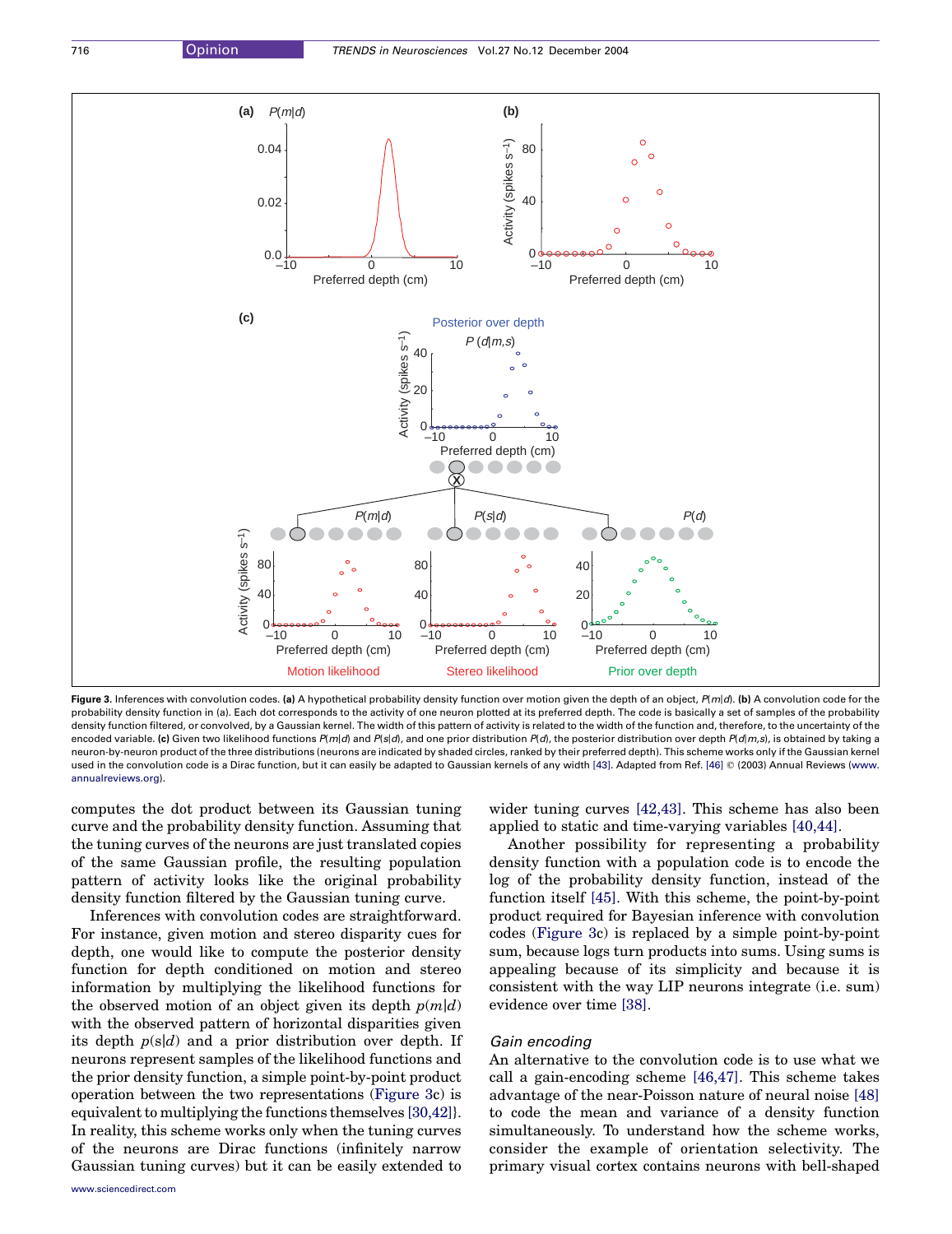<span id="page-4-0"></span>

Figure 3. Inferences with convolution codes. (a) A hypothetical probability density function over motion given the depth of an object, P(m|d). (b) A convolution code for the probability density function in (a). Each dot corresponds to the activity of one neuron plotted at its preferred depth. The code is basically a set of samples of the probability density function filtered, or convolved, by a Gaussian kernel. The width of this pattern of activity is related to the width of the function and, therefore, to the uncertainty of the encoded variable. (c) Given two likelihood functions  $P(m|d)$  and  $P(s|d)$ , and one prior distribution  $P(d)$ , the posterior distribution over depth  $P(d|m,s)$ , is obtained by taking a neuron-by-neuron product of the three distributions (neurons are indicated by shaded circles, ranked by their preferred depth). This scheme works only if the Gaussian kernel used in the convolution code is a Dirac function, but it can easily be adapted to Gaussian kernels of any width [\[43\].](#page-7-0) Adapted from Ref. [\[46\]](#page-7-0) © (2003) Annual Reviews ([www.](http://www.annualreviews.org) [annualreviews.org\)](http://www.annualreviews.org).

Preferred depth (cm) Stereo likelihood

0<del>0000000000000000</del> 0 –10 0 10 –10 0 10 –10 0 10

computes the dot product between its Gaussian tuning curve and the probability density function. Assuming that the tuning curves of the neurons are just translated copies of the same Gaussian profile, the resulting population pattern of activity looks like the original probability density function filtered by the Gaussian tuning curve.

 $0<sub>vec</sub>$ <br>-10

Preferred depth (cm) Motion likelihood

Inferences with convolution codes are straightforward. For instance, given motion and stereo disparity cues for depth, one would like to compute the posterior density function for depth conditioned on motion and stereo information by multiplying the likelihood functions for the observed motion of an object given its depth  $p(m|d)$ with the observed pattern of horizontal disparities given its depth  $p(s|d)$  and a prior distribution over depth. If neurons represent samples of the likelihood functions and the prior density function, a simple point-by-point product operation between the two representations (Figure 3c) is equivalent to multiplying the functions themselves [\[30,42\]](#page-7-0)}. In reality, this scheme works only when the tuning curves of the neurons are Dirac functions (infinitely narrow Gaussian tuning curves) but it can be easily extended to wider tuning curves [\[42,43\].](#page-7-0) This scheme has also been applied to static and time-varying variables [\[40,44\]](#page-7-0).

Preferred depth (cm) Prior over depth

Another possibility for representing a probability density function with a population code is to encode the log of the probability density function, instead of the function itself [\[45\].](#page-7-0) With this scheme, the point-by-point product required for Bayesian inference with convolution codes (Figure 3c) is replaced by a simple point-by-point sum, because logs turn products into sums. Using sums is appealing because of its simplicity and because it is consistent with the way LIP neurons integrate (i.e. sum) evidence over time [\[38\]](#page-7-0).

# Gain encoding

An alternative to the convolution code is to use what we call a gain-encoding scheme [\[46,47\]](#page-7-0). This scheme takes advantage of the near-Poisson nature of neural noise [\[48\]](#page-7-0) to code the mean and variance of a density function simultaneously. To understand how the scheme works, consider the example of orientation selectivity. The primary visual cortex contains neurons with bell-shaped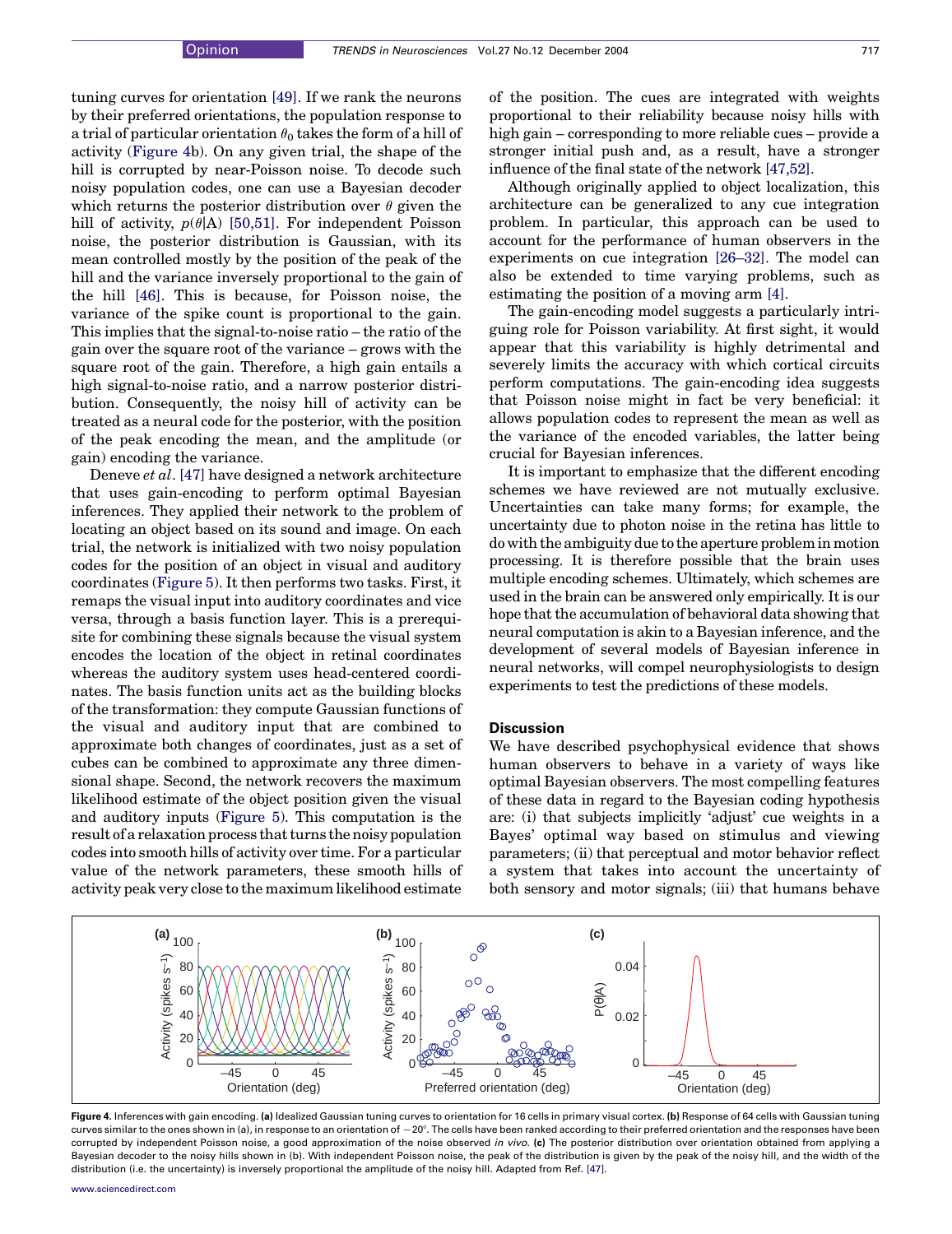tuning curves for orientation [\[49\]](#page-7-0). If we rank the neurons by their preferred orientations, the population response to a trial of particular orientation  $\theta_0$  takes the form of a hill of activity (Figure 4b). On any given trial, the shape of the hill is corrupted by near-Poisson noise. To decode such noisy population codes, one can use a Bayesian decoder which returns the posterior distribution over  $\theta$  given the hill of activity,  $p(\theta|A)$  [\[50,51\]](#page-7-0). For independent Poisson noise, the posterior distribution is Gaussian, with its mean controlled mostly by the position of the peak of the hill and the variance inversely proportional to the gain of the hill [\[46\].](#page-7-0) This is because, for Poisson noise, the variance of the spike count is proportional to the gain. This implies that the signal-to-noise ratio – the ratio of the gain over the square root of the variance – grows with the square root of the gain. Therefore, a high gain entails a high signal-to-noise ratio, and a narrow posterior distribution. Consequently, the noisy hill of activity can be treated as a neural code for the posterior, with the position of the peak encoding the mean, and the amplitude (or gain) encoding the variance.

Deneve et al. [\[47\]](#page-7-0) have designed a network architecture that uses gain-encoding to perform optimal Bayesian inferences. They applied their network to the problem of locating an object based on its sound and image. On each trial, the network is initialized with two noisy population codes for the position of an object in visual and auditory coordinates [\(Figure 5\)](#page-6-0). It then performs two tasks. First, it remaps the visual input into auditory coordinates and vice versa, through a basis function layer. This is a prerequisite for combining these signals because the visual system encodes the location of the object in retinal coordinates whereas the auditory system uses head-centered coordinates. The basis function units act as the building blocks of the transformation: they compute Gaussian functions of the visual and auditory input that are combined to approximate both changes of coordinates, just as a set of cubes can be combined to approximate any three dimensional shape. Second, the network recovers the maximum likelihood estimate of the object position given the visual and auditory inputs [\(Figure 5](#page-6-0)). This computation is the result of a relaxation process that turns the noisy population codes into smooth hills of activity over time. For a particular value of the network parameters, these smooth hills of activity peak very close to the maximum likelihood estimate of the position. The cues are integrated with weights proportional to their reliability because noisy hills with high gain – corresponding to more reliable cues – provide a stronger initial push and, as a result, have a stronger influence of the final state of the network [\[47,52\]](#page-7-0).

Although originally applied to object localization, this architecture can be generalized to any cue integration problem. In particular, this approach can be used to account for the performance of human observers in the experiments on cue integration [\[26–32\]](#page-7-0). The model can also be extended to time varying problems, such as estimating the position of a moving arm [\[4\].](#page-7-0)

The gain-encoding model suggests a particularly intriguing role for Poisson variability. At first sight, it would appear that this variability is highly detrimental and severely limits the accuracy with which cortical circuits perform computations. The gain-encoding idea suggests that Poisson noise might in fact be very beneficial: it allows population codes to represent the mean as well as the variance of the encoded variables, the latter being crucial for Bayesian inferences.

It is important to emphasize that the different encoding schemes we have reviewed are not mutually exclusive. Uncertainties can take many forms; for example, the uncertainty due to photon noise in the retina has little to do with the ambiguity due to the aperture problem in motion processing. It is therefore possible that the brain uses multiple encoding schemes. Ultimately, which schemes are used in the brain can be answered only empirically. It is our hope that the accumulation of behavioral data showing that neural computation is akin to a Bayesian inference, and the development of several models of Bayesian inference in neural networks, will compel neurophysiologists to design experiments to test the predictions of these models.

#### **Discussion**

We have described psychophysical evidence that shows human observers to behave in a variety of ways like optimal Bayesian observers. The most compelling features of these data in regard to the Bayesian coding hypothesis are: (i) that subjects implicitly 'adjust' cue weights in a Bayes' optimal way based on stimulus and viewing parameters; (ii) that perceptual and motor behavior reflect a system that takes into account the uncertainty of both sensory and motor signals; (iii) that humans behave



Figure 4. Inferences with gain encoding. (a) Idealized Gaussian tuning curves to orientation for 16 cells in primary visual cortex. (b) Response of 64 cells with Gaussian tuning curves similar to the ones shown in (a), in response to an orientation of  $-20^{\circ}$ . The cells have been ranked according to their preferred orientation and the responses have been corrupted by independent Poisson noise, a good approximation of the noise observed in vivo. (c) The posterior distribution over orientation obtained from applying a Bayesian decoder to the noisy hills shown in (b). With independent Poisson noise, the peak of the distribution is given by the peak of the noisy hill, and the width of the distribution (i.e. the uncertainty) is inversely proportional the amplitude of the noisy hill. Adapted from Ref. [\[47\].](#page-7-0)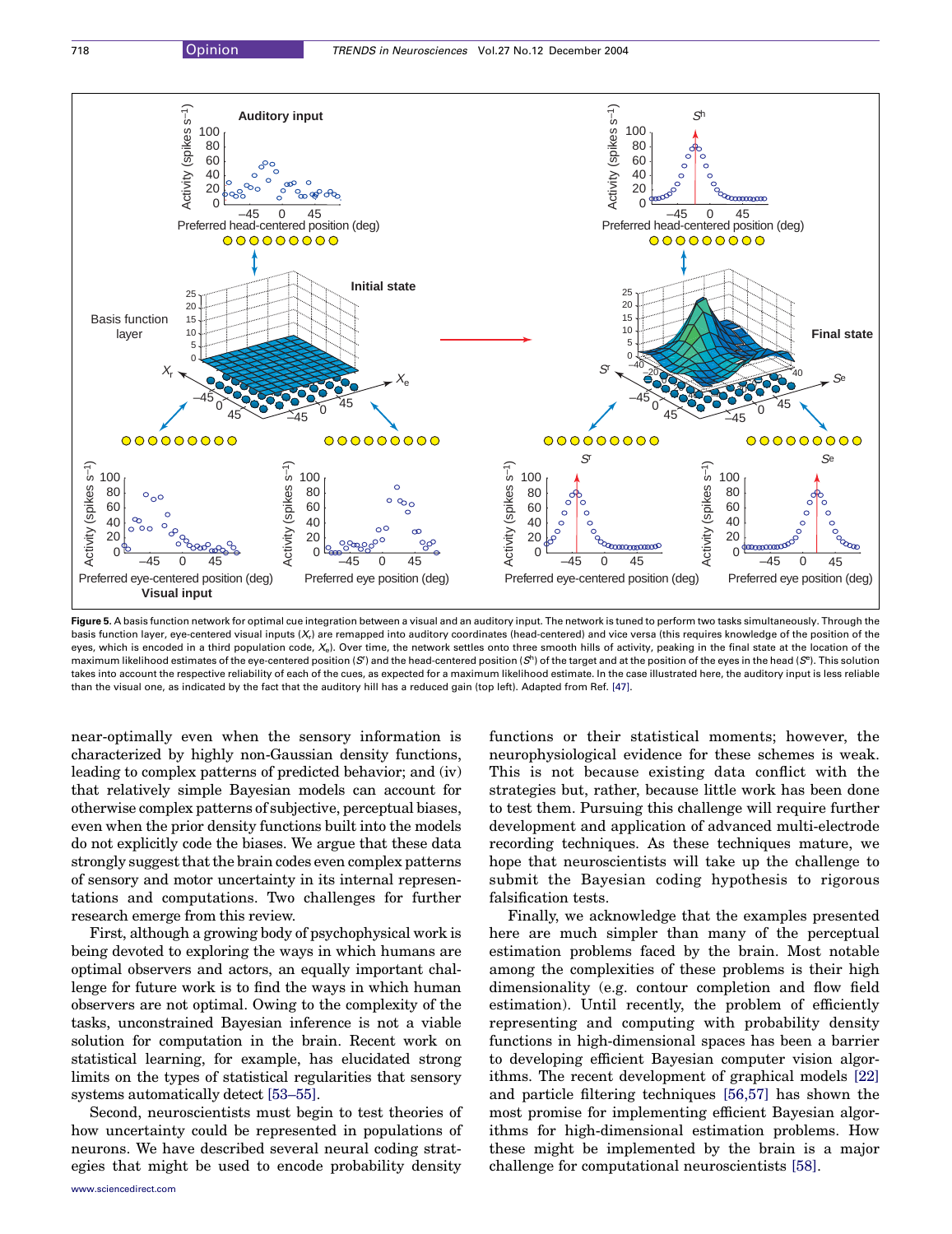<span id="page-6-0"></span>

Figure 5. A basis function network for optimal cue integration between a visual and an auditory input. The network is tuned to perform two tasks simultaneously. Through the basis function layer, eve-centered visual inputs (X) are remapped into auditory coordinates (head-centered) and vice versa (this requires knowledge of the position of the eyes, which is encoded in a third population code,  $X_{e}$ ). Over time, the network settles onto three smooth hills of activity, peaking in the final state at the location of the maximum likelihood estimates of the eye-centered position (S") and the head-centered position (S") of the target and at the position of the eyes in the head (S"). This solution takes into account the respective reliability of each of the cues, as expected for a maximum likelihood estimate. In the case illustrated here, the auditory input is less reliable than the visual one, as indicated by the fact that the auditory hill has a reduced gain (top left). Adapted from Ref. [\[47\]](#page-7-0).

near-optimally even when the sensory information is characterized by highly non-Gaussian density functions, leading to complex patterns of predicted behavior; and (iv) that relatively simple Bayesian models can account for otherwise complex patterns of subjective, perceptual biases, even when the prior density functions built into the models do not explicitly code the biases. We argue that these data strongly suggest that the brain codes even complex patterns of sensory and motor uncertainty in its internal representations and computations. Two challenges for further research emerge from this review.

First, although a growing body of psychophysical work is being devoted to exploring the ways in which humans are optimal observers and actors, an equally important challenge for future work is to find the ways in which human observers are not optimal. Owing to the complexity of the tasks, unconstrained Bayesian inference is not a viable solution for computation in the brain. Recent work on statistical learning, for example, has elucidated strong limits on the types of statistical regularities that sensory systems automatically detect [\[53–55\].](#page-7-0)

Second, neuroscientists must begin to test theories of how uncertainty could be represented in populations of neurons. We have described several neural coding strategies that might be used to encode probability density

functions or their statistical moments; however, the neurophysiological evidence for these schemes is weak. This is not because existing data conflict with the strategies but, rather, because little work has been done to test them. Pursuing this challenge will require further development and application of advanced multi-electrode recording techniques. As these techniques mature, we hope that neuroscientists will take up the challenge to submit the Bayesian coding hypothesis to rigorous falsification tests.

Finally, we acknowledge that the examples presented here are much simpler than many of the perceptual estimation problems faced by the brain. Most notable among the complexities of these problems is their high dimensionality (e.g. contour completion and flow field estimation). Until recently, the problem of efficiently representing and computing with probability density functions in high-dimensional spaces has been a barrier to developing efficient Bayesian computer vision algorithms. The recent development of graphical models [\[22\]](#page-7-0) and particle filtering techniques [\[56,57\]](#page-7-0) has shown the most promise for implementing efficient Bayesian algorithms for high-dimensional estimation problems. How these might be implemented by the brain is a major challenge for computational neuroscientists [\[58\].](#page-7-0)